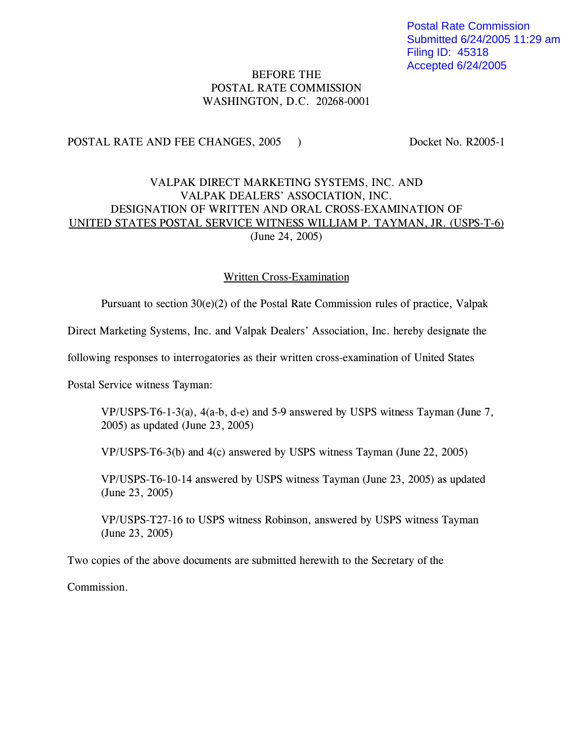Postal Rate Commission Submitted 6/24/2005 11:29 am Filing ID: 45318 Accepted 6/24/2005

## BEFORE THE POSTAL RATE COMMISSION WASHINGTON, D.C. 20268-0001

POSTAL RATE AND FEE CHANGES, 2005 ) Docket No. R2005-1

## VALPAK DIRECT MARKETING SYSTEMS, INC. AND VALPAK DEALERS' ASSOCIATION, INC. DESIGNATION OF WRITTEN AND ORAL CROSS-EXAMINATION OF UNITED STATES POSTAL SERVICE WITNESS WILLIAM P. TAYMAN, JR. (USPS-T-6) (June 24, 2005)

## Written Cross-Examination

Pursuant to section 30(e)(2) of the Postal Rate Commission rules of practice, Valpak

Direct Marketing Systems, Inc. and Valpak Dealers' Association, Inc. hereby designate the

following responses to interrogatories as their written cross-examination of United States

Postal Service witness Tayman:

VP/USPS-T6-1-3(a), 4(a-b, d-e) and 5-9 answered by USPS witness Tayman (June 7, 2005) as updated (June 23, 2005)

VP/USPS-T6-3(b) and 4(c) answered by USPS witness Tayman (June 22, 2005)

VP/USPS-T6-10-14 answered by USPS witness Tayman (June 23, 2005) as updated (June 23, 2005)

VP/USPS-T27-16 to USPS witness Robinson, answered by USPS witness Tayman (June 23, 2005)

Two copies of the above documents are submitted herewith to the Secretary of the

Commission.